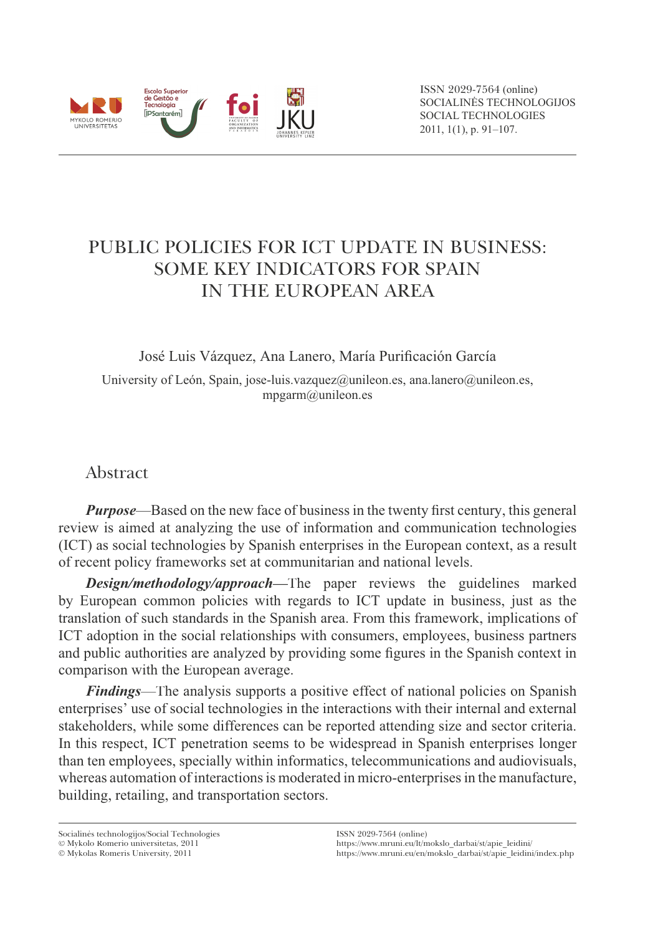

ISSN 2029-7564 (online) SOCIALINĖS TECHNOLOGIJOS SOCIAL TECHNOLOGIES 2011, 1(1), p. 91–107.

# PUBLIC POLICIES FOR ICT UPDATE IN BUSINESS: SOME KEY INDICATORS FOR SPAIN IN THE EUROPEAN AREA

José Luis Vázquez, Ana Lanero, María Purificación García

University of León, Spain, jose-luis.vazquez@unileon.es, ana.lanero@unileon.es, mpgarm@unileon.es

## Abstract

*Purpose*—Based on the new face of business in the twenty first century, this general review is aimed at analyzing the use of information and communication technologies (ICT) as social technologies by Spanish enterprises in the European context, as a result of recent policy frameworks set at communitarian and national levels.

*Design/methodology/approach***—**The paper reviews the guidelines marked by European common policies with regards to ICT update in business, just as the translation of such standards in the Spanish area. From this framework, implications of ICT adoption in the social relationships with consumers, employees, business partners and public authorities are analyzed by providing some figures in the Spanish context in comparison with the European average.

*Findings*—The analysis supports a positive effect of national policies on Spanish enterprises' use of social technologies in the interactions with their internal and external stakeholders, while some differences can be reported attending size and sector criteria. In this respect, ICT penetration seems to be widespread in Spanish enterprises longer than ten employees, specially within informatics, telecommunications and audiovisuals, whereas automation of interactions is moderated in micro-enterprises in the manufacture, building, retailing, and transportation sectors.

Socialinës technologijos/Social Technologies Mykolo Romerio universitetas, 2011

Mykolas Romeris University, 2011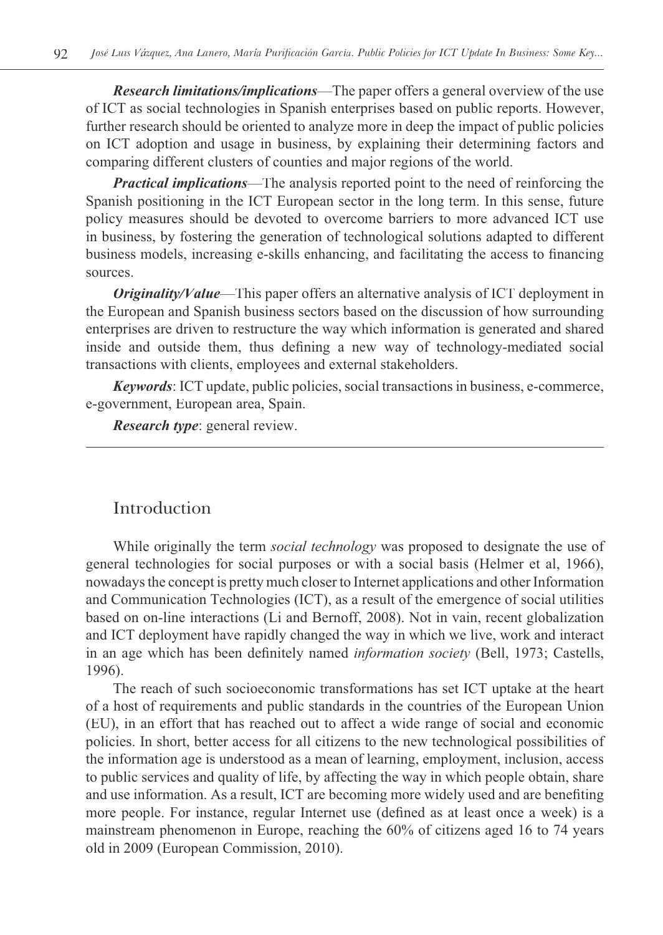*Research limitations/implications*—The paper offers a general overview of the use of ICT as social technologies in Spanish enterprises based on public reports. However, further research should be oriented to analyze more in deep the impact of public policies on ICT adoption and usage in business, by explaining their determining factors and comparing different clusters of counties and major regions of the world.

*Practical implications*—The analysis reported point to the need of reinforcing the Spanish positioning in the ICT European sector in the long term. In this sense, future policy measures should be devoted to overcome barriers to more advanced ICT use in business, by fostering the generation of technological solutions adapted to different business models, increasing e-skills enhancing, and facilitating the access to financing sources.

*Originality/Value*—This paper offers an alternative analysis of ICT deployment in the European and Spanish business sectors based on the discussion of how surrounding enterprises are driven to restructure the way which information is generated and shared inside and outside them, thus defining a new way of technology-mediated social transactions with clients, employees and external stakeholders.

*Keywords*: ICT update, public policies, social transactions in business, e-commerce, e-government, European area, Spain.

*Research type*: general review.

### Introduction

While originally the term *social technology* was proposed to designate the use of general technologies for social purposes or with a social basis (Helmer et al, 1966), nowadays the concept is pretty much closer to Internet applications and other Information and Communication Technologies (ICT), as a result of the emergence of social utilities based on on-line interactions (Li and Bernoff, 2008). Not in vain, recent globalization and ICT deployment have rapidly changed the way in which we live, work and interact in an age which has been definitely named *information society* (Bell, 1973; Castells, 1996).

The reach of such socioeconomic transformations has set ICT uptake at the heart of a host of requirements and public standards in the countries of the European Union (EU), in an effort that has reached out to affect a wide range of social and economic policies. In short, better access for all citizens to the new technological possibilities of the information age is understood as a mean of learning, employment, inclusion, access to public services and quality of life, by affecting the way in which people obtain, share and use information. As a result, ICT are becoming more widely used and are benefiting more people. For instance, regular Internet use (defined as at least once a week) is a mainstream phenomenon in Europe, reaching the 60% of citizens aged 16 to 74 years old in 2009 (European Commission, 2010).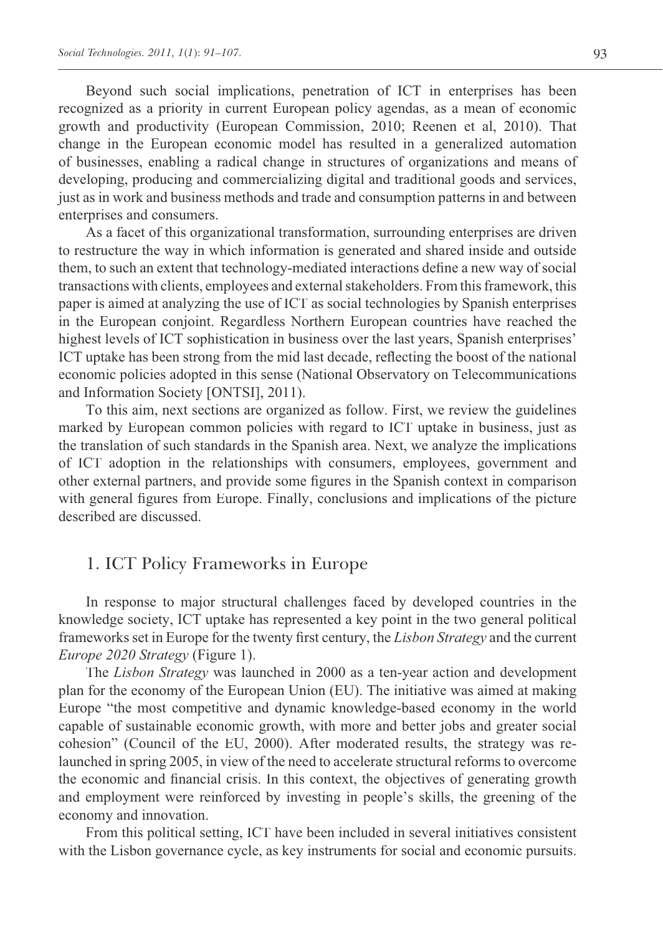Beyond such social implications, penetration of ICT in enterprises has been recognized as a priority in current European policy agendas, as a mean of economic growth and productivity (European Commission, 2010; Reenen et al, 2010). That change in the European economic model has resulted in a generalized automation of businesses, enabling a radical change in structures of organizations and means of developing, producing and commercializing digital and traditional goods and services, just as in work and business methods and trade and consumption patterns in and between enterprises and consumers.

As a facet of this organizational transformation, surrounding enterprises are driven to restructure the way in which information is generated and shared inside and outside them, to such an extent that technology-mediated interactions define a new way of social transactions with clients, employees and external stakeholders. From this framework, this paper is aimed at analyzing the use of ICT as social technologies by Spanish enterprises in the European conjoint. Regardless Northern European countries have reached the highest levels of ICT sophistication in business over the last years, Spanish enterprises' ICT uptake has been strong from the mid last decade, reflecting the boost of the national economic policies adopted in this sense (National Observatory on Telecommunications and Information Society [ONTSI], 2011).

To this aim, next sections are organized as follow. First, we review the guidelines marked by European common policies with regard to ICT uptake in business, just as the translation of such standards in the Spanish area. Next, we analyze the implications of ICT adoption in the relationships with consumers, employees, government and other external partners, and provide some figures in the Spanish context in comparison with general figures from Europe. Finally, conclusions and implications of the picture described are discussed.

## 1. ICT Policy Frameworks in Europe

In response to major structural challenges faced by developed countries in the knowledge society, ICT uptake has represented a key point in the two general political frameworks set in Europe for the twenty first century, the *Lisbon Strategy* and the current *Europe 2020 Strategy* (Figure 1).

The *Lisbon Strategy* was launched in 2000 as a ten-year action and development plan for the economy of the European Union (EU). The initiative was aimed at making Europe "the most competitive and dynamic knowledge-based economy in the world capable of sustainable economic growth, with more and better jobs and greater social cohesion" (Council of the EU, 2000). After moderated results, the strategy was relaunched in spring 2005, in view of the need to accelerate structural reforms to overcome the economic and financial crisis. In this context, the objectives of generating growth and employment were reinforced by investing in people's skills, the greening of the economy and innovation.

From this political setting, ICT have been included in several initiatives consistent with the Lisbon governance cycle, as key instruments for social and economic pursuits.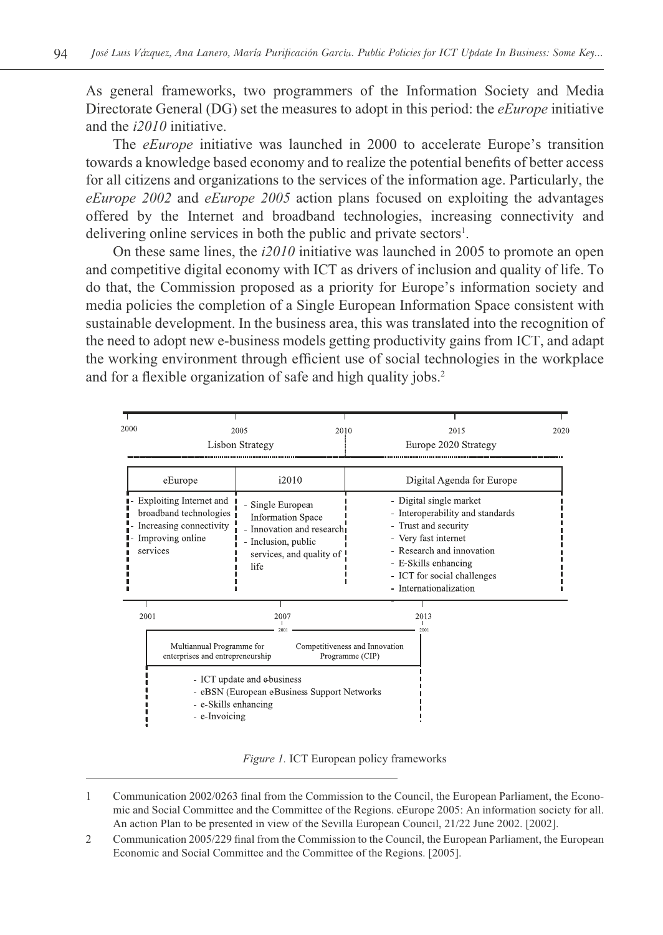As general frameworks, two programmers of the Information Society and Media Directorate General (DG) set the measures to adopt in this period: the *eEurope* initiative and the *i2010* initiative.

The *eEurope* initiative was launched in 2000 to accelerate Europe's transition towards a knowledge based economy and to realize the potential benefits of better access for all citizens and organizations to the services of the information age. Particularly, the *eEurope 2002* and *eEurope 2005* action plans focused on exploiting the advantages offered by the Internet and broadband technologies, increasing connectivity and delivering online services in both the public and private sectors<sup>1</sup>.

On these same lines, the *i2010* initiative was launched in 2005 to promote an open and competitive digital economy with ICT as drivers of inclusion and quality of life. To do that, the Commission proposed as a priority for Europe's information society and media policies the completion of a Single European Information Space consistent with sustainable development. In the business area, this was translated into the recognition of the need to adopt new e-business models getting productivity gains from ICT, and adapt the working environment through efficient use of social technologies in the workplace and for a flexible organization of safe and high quality jobs.<sup>2</sup>



*Figure 1.* ICT European policy frameworks

- 1 Communication 2002/0263 final from the Commission to the Council, the European Parliament, the Economic and Social Committee and the Committee of the Regions. eEurope 2005: An information society for all. An action Plan to be presented in view of the Sevilla European Council, 21/22 June 2002. [2002].
- 2 Communication 2005/229 final from the Commission to the Council, the European Parliament, the European Economic and Social Committee and the Committee of the Regions. [2005].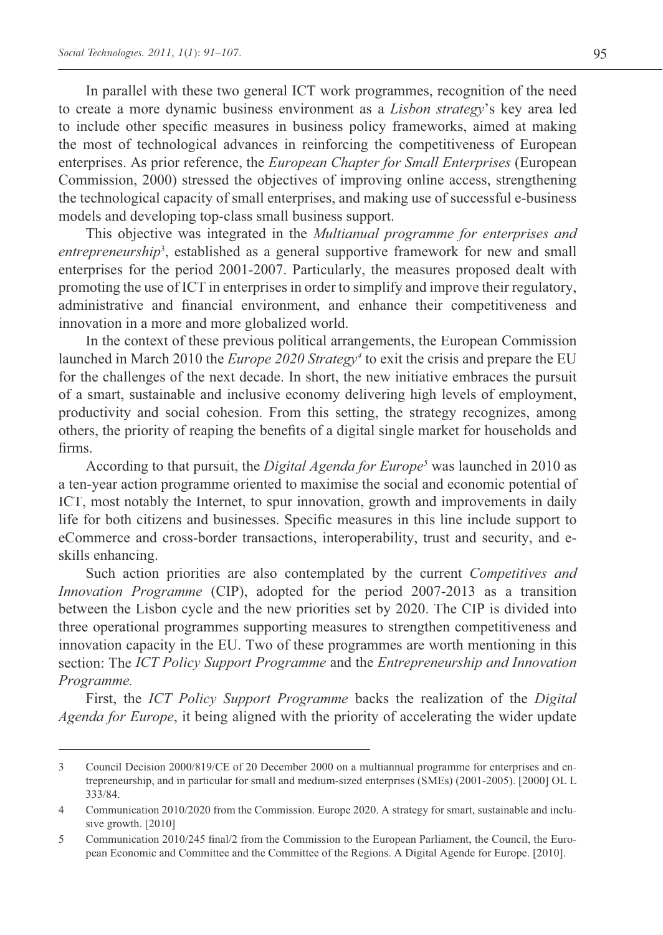In parallel with these two general ICT work programmes, recognition of the need to create a more dynamic business environment as a *Lisbon strategy*'s key area led to include other specific measures in business policy frameworks, aimed at making the most of technological advances in reinforcing the competitiveness of European enterprises. As prior reference, the *European Chapter for Small Enterprises* (European Commission, 2000) stressed the objectives of improving online access, strengthening the technological capacity of small enterprises, and making use of successful e-business models and developing top-class small business support.

This objective was integrated in the *Multianual programme for enterprises and*  entrepreneurship<sup>3</sup>, established as a general supportive framework for new and small enterprises for the period 2001-2007. Particularly, the measures proposed dealt with promoting the use of ICT in enterprises in order to simplify and improve their regulatory, administrative and financial environment, and enhance their competitiveness and innovation in a more and more globalized world.

In the context of these previous political arrangements, the European Commission launched in March 2010 the *Europe 2020 Strategy<sup>4</sup>* to exit the crisis and prepare the EU for the challenges of the next decade. In short, the new initiative embraces the pursuit of a smart, sustainable and inclusive economy delivering high levels of employment, productivity and social cohesion. From this setting, the strategy recognizes, among others, the priority of reaping the benefits of a digital single market for households and firms.

According to that pursuit, the *Digital Agenda for Europe<sup>5</sup>* was launched in 2010 as a ten-year action programme oriented to maximise the social and economic potential of ICT, most notably the Internet, to spur innovation, growth and improvements in daily life for both citizens and businesses. Specific measures in this line include support to eCommerce and cross-border transactions, interoperability, trust and security, and eskills enhancing.

Such action priorities are also contemplated by the current *Competitives and Innovation Programme* (CIP), adopted for the period 2007-2013 as a transition between the Lisbon cycle and the new priorities set by 2020. The CIP is divided into three operational programmes supporting measures to strengthen competitiveness and innovation capacity in the EU. Two of these programmes are worth mentioning in this section: The *ICT Policy Support Programme* and the *Entrepreneurship and Innovation Programme.*

First, the *ICT Policy Support Programme* backs the realization of the *Digital Agenda for Europe*, it being aligned with the priority of accelerating the wider update

<sup>3</sup> Council Decision 2000/819/CE of 20 December 2000 on a multiannual programme for enterprises and entrepreneurship, and in particular for small and medium-sized enterprises (SMEs) (2001-2005). [2000] OL L 333/84.

<sup>4</sup> Communication 2010/2020 from the Commission. Europe 2020. A strategy for smart, sustainable and inclusive growth. [2010]

<sup>5</sup> Communication 2010/245 final/2 from the Commission to the European Parliament, the Council, the European Economic and Committee and the Committee of the Regions. A Digital Agende for Europe. [2010].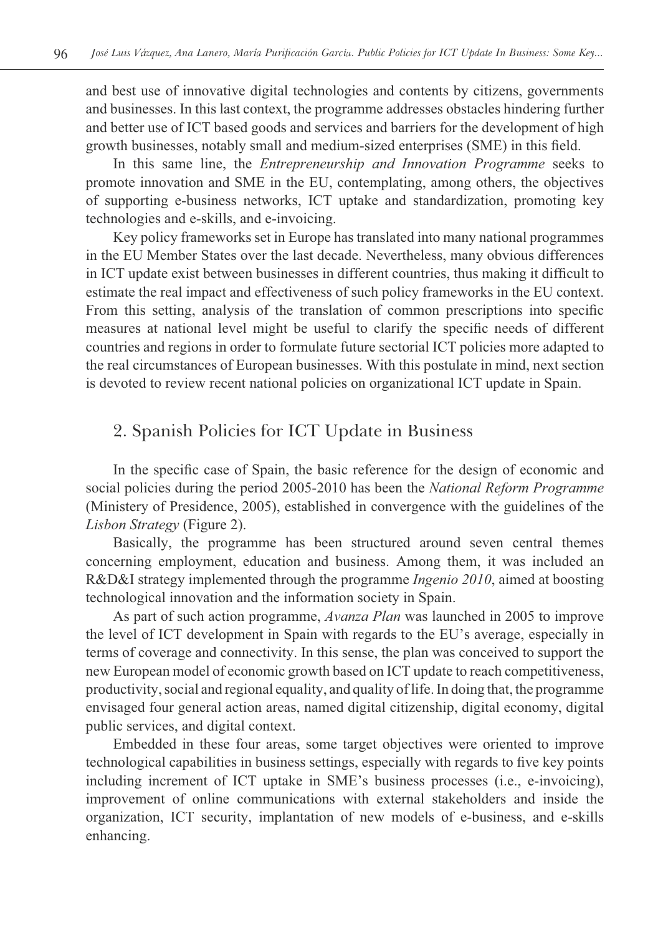and best use of innovative digital technologies and contents by citizens, governments and businesses. In this last context, the programme addresses obstacles hindering further and better use of ICT based goods and services and barriers for the development of high growth businesses, notably small and medium-sized enterprises (SME) in this field.

In this same line, the *Entrepreneurship and Innovation Programme* seeks to promote innovation and SME in the EU, contemplating, among others, the objectives of supporting e-business networks, ICT uptake and standardization, promoting key technologies and e-skills, and e-invoicing.

Key policy frameworks set in Europe has translated into many national programmes in the EU Member States over the last decade. Nevertheless, many obvious differences in ICT update exist between businesses in different countries, thus making it difficult to estimate the real impact and effectiveness of such policy frameworks in the EU context. From this setting, analysis of the translation of common prescriptions into specific measures at national level might be useful to clarify the specific needs of different countries and regions in order to formulate future sectorial ICT policies more adapted to the real circumstances of European businesses. With this postulate in mind, next section is devoted to review recent national policies on organizational ICT update in Spain.

## 2. Spanish Policies for ICT Update in Business

In the specific case of Spain, the basic reference for the design of economic and social policies during the period 2005-2010 has been the *National Reform Programme*  (Ministery of Presidence, 2005), established in convergence with the guidelines of the *Lisbon Strategy* (Figure 2).

Basically, the programme has been structured around seven central themes concerning employment, education and business. Among them, it was included an R&D&I strategy implemented through the programme *Ingenio 2010*, aimed at boosting technological innovation and the information society in Spain.

As part of such action programme, *Avanza Plan* was launched in 2005 to improve the level of ICT development in Spain with regards to the EU's average, especially in terms of coverage and connectivity. In this sense, the plan was conceived to support the new European model of economic growth based on ICT update to reach competitiveness, productivity, social and regional equality, and quality of life. In doing that, the programme envisaged four general action areas, named digital citizenship, digital economy, digital public services, and digital context.

Embedded in these four areas, some target objectives were oriented to improve technological capabilities in business settings, especially with regards to five key points including increment of ICT uptake in SME's business processes (i.e., e-invoicing), improvement of online communications with external stakeholders and inside the organization, ICT security, implantation of new models of e-business, and e-skills enhancing.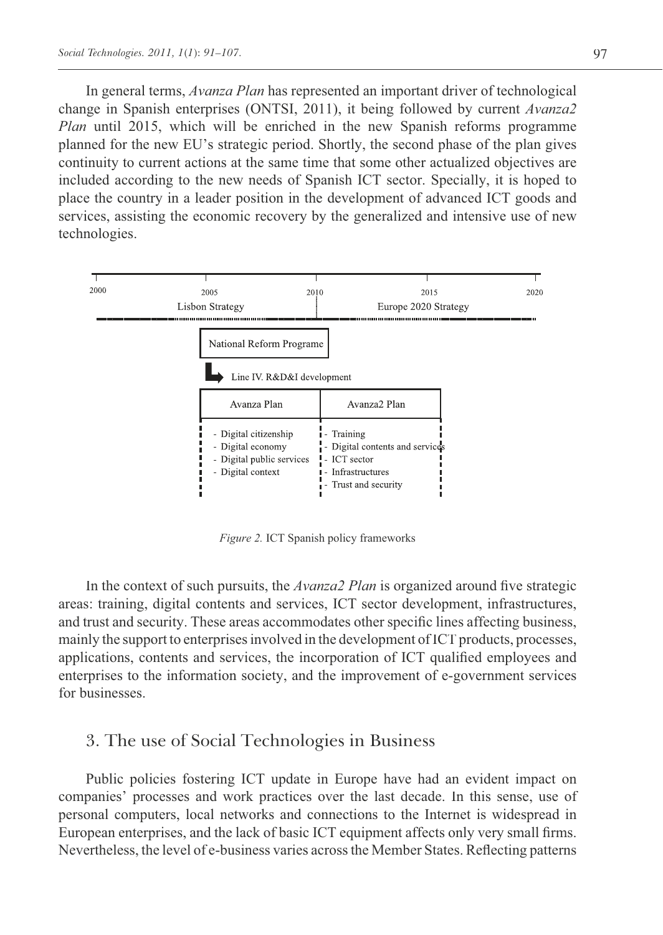In general terms, *Avanza Plan* has represented an important driver of technological change in Spanish enterprises (ONTSI, 2011), it being followed by current *Avanza2 Plan* until 2015, which will be enriched in the new Spanish reforms programme planned for the new EU's strategic period. Shortly, the second phase of the plan gives continuity to current actions at the same time that some other actualized objectives are included according to the new needs of Spanish ICT sector. Specially, it is hoped to place the country in a leader position in the development of advanced ICT goods and services, assisting the economic recovery by the generalized and intensive use of new technologies.



*Figure 2.* ICT Spanish policy frameworks

In the context of such pursuits, the *Avanza2 Plan* is organized around five strategic areas: training, digital contents and services, ICT sector development, infrastructures, and trust and security. These areas accommodates other specific lines affecting business, mainly the support to enterprises involved in the development of ICT products, processes, applications, contents and services, the incorporation of ICT qualified employees and enterprises to the information society, and the improvement of e-government services for businesses.

## 3. The use of Social Technologies in Business

Public policies fostering ICT update in Europe have had an evident impact on companies' processes and work practices over the last decade. In this sense, use of personal computers, local networks and connections to the Internet is widespread in European enterprises, and the lack of basic ICT equipment affects only very small firms. Nevertheless, the level of e-business varies across the Member States. Reflecting patterns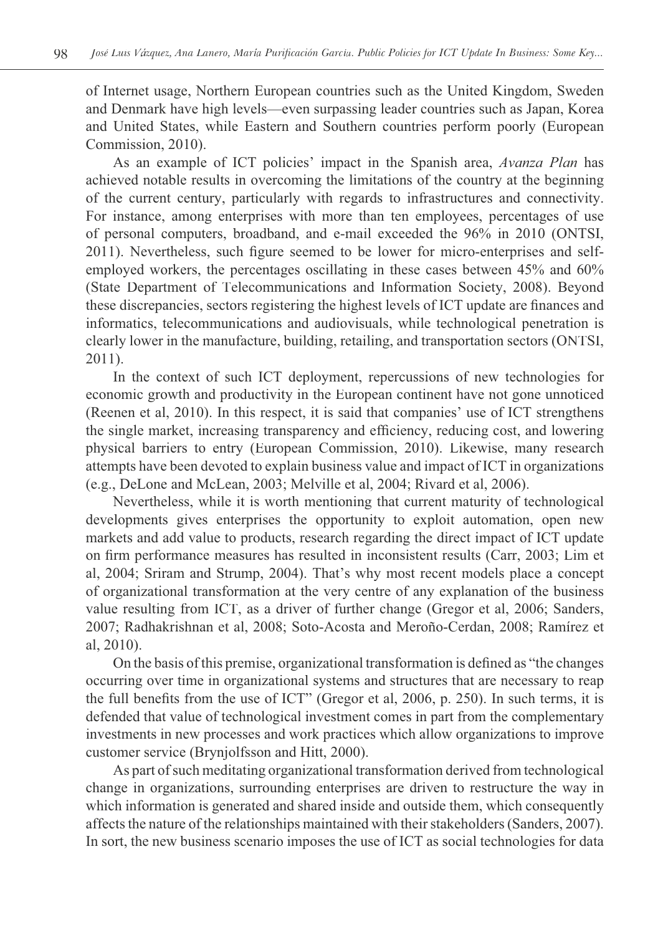of Internet usage, Northern European countries such as the United Kingdom, Sweden and Denmark have high levels—even surpassing leader countries such as Japan, Korea and United States, while Eastern and Southern countries perform poorly (European Commission, 2010).

As an example of ICT policies' impact in the Spanish area, *Avanza Plan* has achieved notable results in overcoming the limitations of the country at the beginning of the current century, particularly with regards to infrastructures and connectivity. For instance, among enterprises with more than ten employees, percentages of use of personal computers, broadband, and e-mail exceeded the 96% in 2010 (ONTSI, 2011). Nevertheless, such figure seemed to be lower for micro-enterprises and selfemployed workers, the percentages oscillating in these cases between 45% and 60% (State Department of Telecommunications and Information Society, 2008). Beyond these discrepancies, sectors registering the highest levels of ICT update are finances and informatics, telecommunications and audiovisuals, while technological penetration is clearly lower in the manufacture, building, retailing, and transportation sectors (ONTSI, 2011).

In the context of such ICT deployment, repercussions of new technologies for economic growth and productivity in the European continent have not gone unnoticed (Reenen et al, 2010). In this respect, it is said that companies' use of ICT strengthens the single market, increasing transparency and efficiency, reducing cost, and lowering physical barriers to entry (European Commission, 2010). Likewise, many research attempts have been devoted to explain business value and impact of ICT in organizations (e.g., DeLone and McLean, 2003; Melville et al, 2004; Rivard et al, 2006).

Nevertheless, while it is worth mentioning that current maturity of technological developments gives enterprises the opportunity to exploit automation, open new markets and add value to products, research regarding the direct impact of ICT update on firm performance measures has resulted in inconsistent results (Carr, 2003; Lim et al, 2004; Sriram and Strump, 2004). That's why most recent models place a concept of organizational transformation at the very centre of any explanation of the business value resulting from ICT, as a driver of further change (Gregor et al, 2006; Sanders, 2007; Radhakrishnan et al, 2008; Soto-Acosta and Meroño-Cerdan, 2008; Ramírez et al, 2010).

On the basis of this premise, organizational transformation is defined as "the changes occurring over time in organizational systems and structures that are necessary to reap the full benefits from the use of ICT" (Gregor et al, 2006, p. 250). In such terms, it is defended that value of technological investment comes in part from the complementary investments in new processes and work practices which allow organizations to improve customer service (Brynjolfsson and Hitt, 2000).

As part of such meditating organizational transformation derived from technological change in organizations, surrounding enterprises are driven to restructure the way in which information is generated and shared inside and outside them, which consequently affects the nature of the relationships maintained with their stakeholders (Sanders, 2007). In sort, the new business scenario imposes the use of ICT as social technologies for data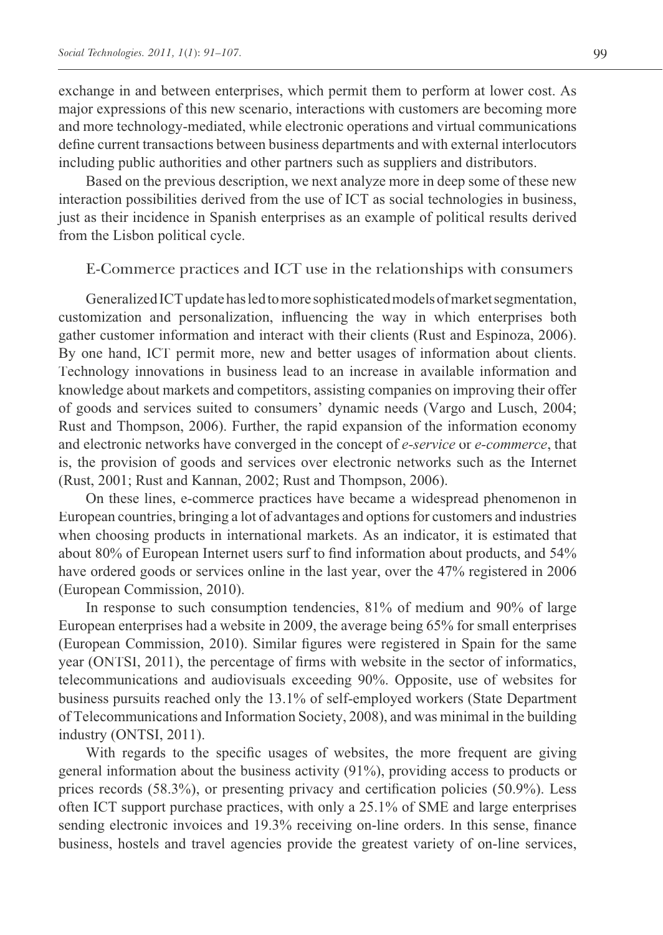exchange in and between enterprises, which permit them to perform at lower cost. As major expressions of this new scenario, interactions with customers are becoming more and more technology-mediated, while electronic operations and virtual communications define current transactions between business departments and with external interlocutors including public authorities and other partners such as suppliers and distributors.

Based on the previous description, we next analyze more in deep some of these new interaction possibilities derived from the use of ICT as social technologies in business, just as their incidence in Spanish enterprises as an example of political results derived from the Lisbon political cycle.

#### E-Commerce practices and ICT use in the relationships with consumers

Generalized ICT update has led to more sophisticated models of market segmentation, customization and personalization, influencing the way in which enterprises both gather customer information and interact with their clients (Rust and Espinoza, 2006). By one hand, ICT permit more, new and better usages of information about clients. Technology innovations in business lead to an increase in available information and knowledge about markets and competitors, assisting companies on improving their offer of goods and services suited to consumers' dynamic needs (Vargo and Lusch, 2004; Rust and Thompson, 2006). Further, the rapid expansion of the information economy and electronic networks have converged in the concept of *e-service* or *e-commerce*, that is, the provision of goods and services over electronic networks such as the Internet (Rust, 2001; Rust and Kannan, 2002; Rust and Thompson, 2006).

On these lines, e-commerce practices have became a widespread phenomenon in European countries, bringing a lot of advantages and options for customers and industries when choosing products in international markets. As an indicator, it is estimated that about 80% of European Internet users surf to find information about products, and 54% have ordered goods or services online in the last year, over the 47% registered in 2006 (European Commission, 2010).

In response to such consumption tendencies, 81% of medium and 90% of large European enterprises had a website in 2009, the average being 65% for small enterprises (European Commission, 2010). Similar figures were registered in Spain for the same year (ONTSI, 2011), the percentage of firms with website in the sector of informatics, telecommunications and audiovisuals exceeding 90%. Opposite, use of websites for business pursuits reached only the 13.1% of self-employed workers (State Department of Telecommunications and Information Society, 2008), and was minimal in the building industry (ONTSI, 2011).

With regards to the specific usages of websites, the more frequent are giving general information about the business activity (91%), providing access to products or prices records (58.3%), or presenting privacy and certification policies (50.9%). Less often ICT support purchase practices, with only a 25.1% of SME and large enterprises sending electronic invoices and 19.3% receiving on-line orders. In this sense, finance business, hostels and travel agencies provide the greatest variety of on-line services,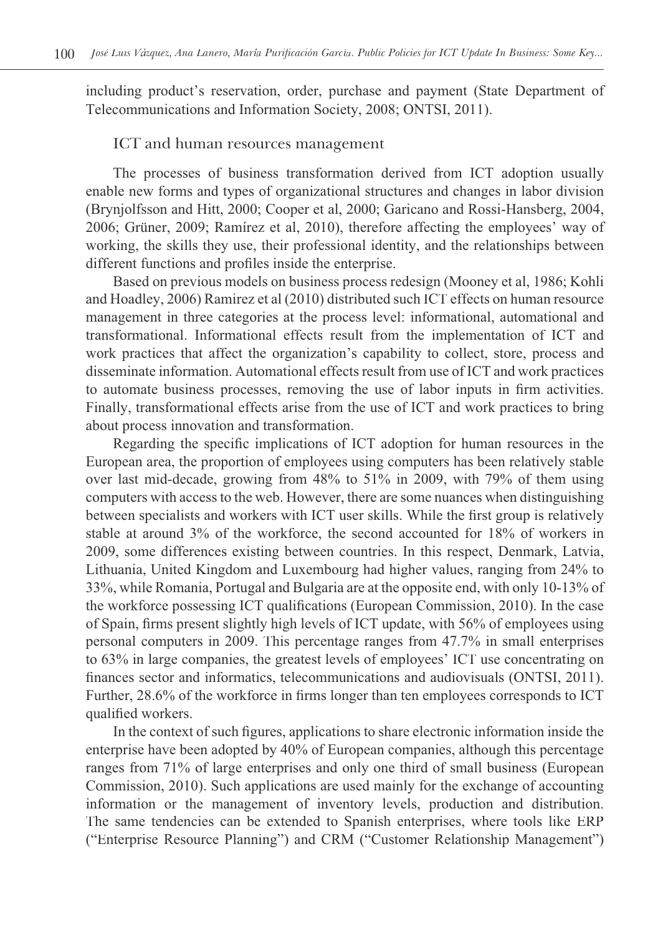including product's reservation, order, purchase and payment (State Department of Telecommunications and Information Society, 2008; ONTSI, 2011).

#### ICT and human resources management

The processes of business transformation derived from ICT adoption usually enable new forms and types of organizational structures and changes in labor division (Brynjolfsson and Hitt, 2000; Cooper et al, 2000; Garicano and Rossi-Hansberg, 2004, 2006; Grüner, 2009; Ramírez et al, 2010), therefore affecting the employees' way of working, the skills they use, their professional identity, and the relationships between different functions and profiles inside the enterprise.

Based on previous models on business process redesign (Mooney et al, 1986; Kohli and Hoadley, 2006) Ramirez et al (2010) distributed such ICT effects on human resource management in three categories at the process level: informational, automational and transformational. Informational effects result from the implementation of ICT and work practices that affect the organization's capability to collect, store, process and disseminate information. Automational effects result from use of ICT and work practices to automate business processes, removing the use of labor inputs in firm activities. Finally, transformational effects arise from the use of ICT and work practices to bring about process innovation and transformation.

Regarding the specific implications of ICT adoption for human resources in the European area, the proportion of employees using computers has been relatively stable over last mid-decade, growing from 48% to 51% in 2009, with 79% of them using computers with access to the web. However, there are some nuances when distinguishing between specialists and workers with ICT user skills. While the first group is relatively stable at around 3% of the workforce, the second accounted for 18% of workers in 2009, some differences existing between countries. In this respect, Denmark, Latvia, Lithuania, United Kingdom and Luxembourg had higher values, ranging from 24% to 33%, while Romania, Portugal and Bulgaria are at the opposite end, with only 10-13% of the workforce possessing ICT qualifications (European Commission, 2010). In the case of Spain, firms present slightly high levels of ICT update, with 56% of employees using personal computers in 2009. This percentage ranges from 47.7% in small enterprises to 63% in large companies, the greatest levels of employees' ICT use concentrating on finances sector and informatics, telecommunications and audiovisuals (ONTSI, 2011). Further, 28.6% of the workforce in firms longer than ten employees corresponds to ICT qualified workers.

In the context of such figures, applications to share electronic information inside the enterprise have been adopted by 40% of European companies, although this percentage ranges from 71% of large enterprises and only one third of small business (European Commission, 2010). Such applications are used mainly for the exchange of accounting information or the management of inventory levels, production and distribution. The same tendencies can be extended to Spanish enterprises, where tools like ERP ("Enterprise Resource Planning") and CRM ("Customer Relationship Management")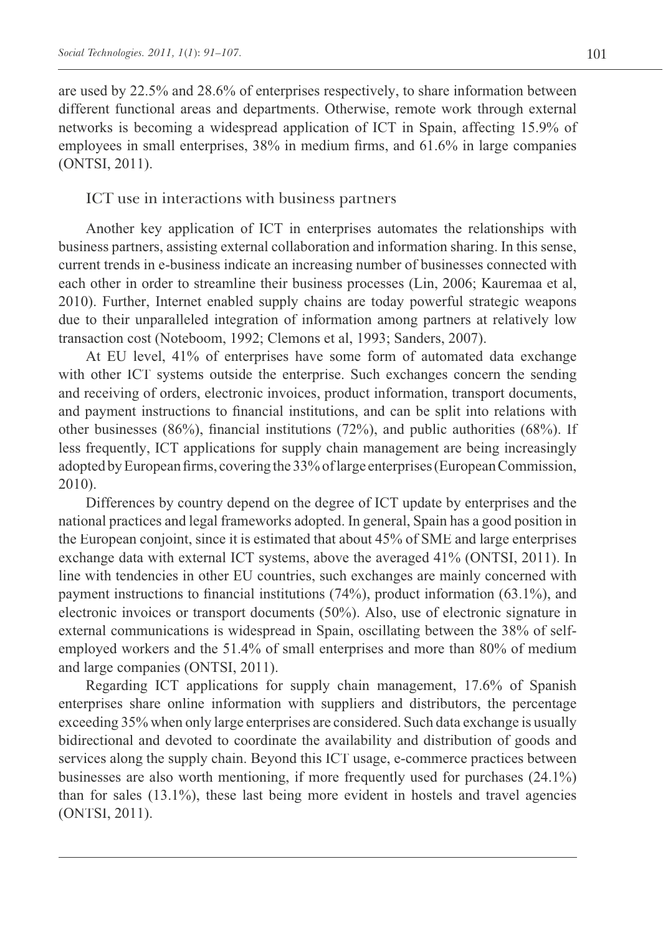are used by 22.5% and 28.6% of enterprises respectively, to share information between different functional areas and departments. Otherwise, remote work through external networks is becoming a widespread application of ICT in Spain, affecting 15.9% of employees in small enterprises, 38% in medium firms, and 61.6% in large companies (ONTSI, 2011).

#### ICT use in interactions with business partners

Another key application of ICT in enterprises automates the relationships with business partners, assisting external collaboration and information sharing. In this sense, current trends in e-business indicate an increasing number of businesses connected with each other in order to streamline their business processes (Lin, 2006; Kauremaa et al, 2010). Further, Internet enabled supply chains are today powerful strategic weapons due to their unparalleled integration of information among partners at relatively low transaction cost (Noteboom, 1992; Clemons et al, 1993; Sanders, 2007).

At EU level, 41% of enterprises have some form of automated data exchange with other ICT systems outside the enterprise. Such exchanges concern the sending and receiving of orders, electronic invoices, product information, transport documents, and payment instructions to financial institutions, and can be split into relations with other businesses  $(86\%)$ , financial institutions  $(72\%)$ , and public authorities  $(68\%)$ . If less frequently, ICT applications for supply chain management are being increasingly adopted by European firms, covering the 33% of large enterprises (European Commission, 2010).

Differences by country depend on the degree of ICT update by enterprises and the national practices and legal frameworks adopted. In general, Spain has a good position in the European conjoint, since it is estimated that about 45% of SME and large enterprises exchange data with external ICT systems, above the averaged 41% (ONTSI, 2011). In line with tendencies in other EU countries, such exchanges are mainly concerned with payment instructions to financial institutions (74%), product information (63.1%), and electronic invoices or transport documents (50%). Also, use of electronic signature in external communications is widespread in Spain, oscillating between the 38% of selfemployed workers and the 51.4% of small enterprises and more than 80% of medium and large companies (ONTSI, 2011).

Regarding ICT applications for supply chain management, 17.6% of Spanish enterprises share online information with suppliers and distributors, the percentage exceeding 35% when only large enterprises are considered. Such data exchange is usually bidirectional and devoted to coordinate the availability and distribution of goods and services along the supply chain. Beyond this ICT usage, e-commerce practices between businesses are also worth mentioning, if more frequently used for purchases (24.1%) than for sales (13.1%), these last being more evident in hostels and travel agencies (ONTSI, 2011).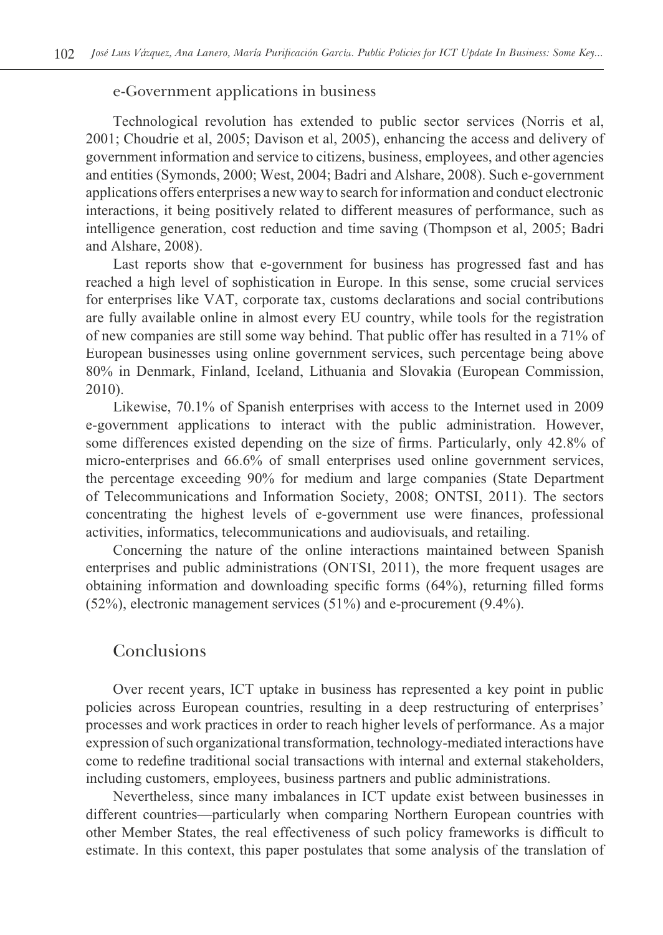#### e-Government applications in business

Technological revolution has extended to public sector services (Norris et al, 2001; Choudrie et al, 2005; Davison et al, 2005), enhancing the access and delivery of government information and service to citizens, business, employees, and other agencies and entities (Symonds, 2000; West, 2004; Badri and Alshare, 2008). Such e-government applications offers enterprises a new way to search for information and conduct electronic interactions, it being positively related to different measures of performance, such as intelligence generation, cost reduction and time saving (Thompson et al, 2005; Badri and Alshare, 2008).

Last reports show that e-government for business has progressed fast and has reached a high level of sophistication in Europe. In this sense, some crucial services for enterprises like VAT, corporate tax, customs declarations and social contributions are fully available online in almost every EU country, while tools for the registration of new companies are still some way behind. That public offer has resulted in a 71% of European businesses using online government services, such percentage being above 80% in Denmark, Finland, Iceland, Lithuania and Slovakia (European Commission, 2010).

Likewise, 70.1% of Spanish enterprises with access to the Internet used in 2009 e-government applications to interact with the public administration. However, some differences existed depending on the size of firms. Particularly, only 42.8% of micro-enterprises and 66.6% of small enterprises used online government services, the percentage exceeding 90% for medium and large companies (State Department of Telecommunications and Information Society, 2008; ONTSI, 2011). The sectors concentrating the highest levels of e-government use were finances, professional activities, informatics, telecommunications and audiovisuals, and retailing.

Concerning the nature of the online interactions maintained between Spanish enterprises and public administrations (ONTSI, 2011), the more frequent usages are obtaining information and downloading specific forms (64%), returning filled forms (52%), electronic management services (51%) and e-procurement (9.4%).

### Conclusions

Over recent years, ICT uptake in business has represented a key point in public policies across European countries, resulting in a deep restructuring of enterprises' processes and work practices in order to reach higher levels of performance. As a major expression of such organizational transformation, technology-mediated interactions have come to redefine traditional social transactions with internal and external stakeholders, including customers, employees, business partners and public administrations.

Nevertheless, since many imbalances in ICT update exist between businesses in different countries—particularly when comparing Northern European countries with other Member States, the real effectiveness of such policy frameworks is difficult to estimate. In this context, this paper postulates that some analysis of the translation of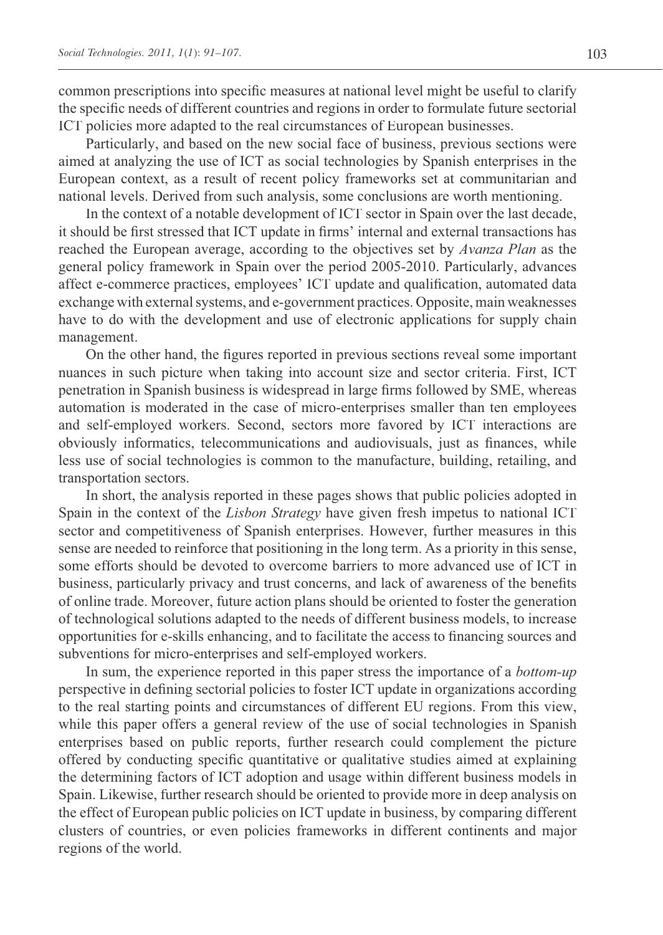common prescriptions into specific measures at national level might be useful to clarify the specific needs of different countries and regions in order to formulate future sectorial ICT policies more adapted to the real circumstances of European businesses.

Particularly, and based on the new social face of business, previous sections were aimed at analyzing the use of ICT as social technologies by Spanish enterprises in the European context, as a result of recent policy frameworks set at communitarian and national levels. Derived from such analysis, some conclusions are worth mentioning.

In the context of a notable development of ICT sector in Spain over the last decade, it should be first stressed that ICT update in firms' internal and external transactions has reached the European average, according to the objectives set by *Avanza Plan* as the general policy framework in Spain over the period 2005-2010. Particularly, advances affect e-commerce practices, employees' ICT update and qualification, automated data exchange with external systems, and e-government practices. Opposite, main weaknesses have to do with the development and use of electronic applications for supply chain management.

On the other hand, the figures reported in previous sections reveal some important nuances in such picture when taking into account size and sector criteria. First, ICT penetration in Spanish business is widespread in large firms followed by SME, whereas automation is moderated in the case of micro-enterprises smaller than ten employees and self-employed workers. Second, sectors more favored by ICT interactions are obviously informatics, telecommunications and audiovisuals, just as finances, while less use of social technologies is common to the manufacture, building, retailing, and transportation sectors.

In short, the analysis reported in these pages shows that public policies adopted in Spain in the context of the *Lisbon Strategy* have given fresh impetus to national ICT sector and competitiveness of Spanish enterprises. However, further measures in this sense are needed to reinforce that positioning in the long term. As a priority in this sense, some efforts should be devoted to overcome barriers to more advanced use of ICT in business, particularly privacy and trust concerns, and lack of awareness of the benefits of online trade. Moreover, future action plans should be oriented to foster the generation of technological solutions adapted to the needs of different business models, to increase opportunities for e-skills enhancing, and to facilitate the access to financing sources and subventions for micro-enterprises and self-employed workers.

In sum, the experience reported in this paper stress the importance of a *bottom-up*  perspective in defining sectorial policies to foster ICT update in organizations according to the real starting points and circumstances of different EU regions. From this view, while this paper offers a general review of the use of social technologies in Spanish enterprises based on public reports, further research could complement the picture offered by conducting specific quantitative or qualitative studies aimed at explaining the determining factors of ICT adoption and usage within different business models in Spain. Likewise, further research should be oriented to provide more in deep analysis on the effect of European public policies on ICT update in business, by comparing different clusters of countries, or even policies frameworks in different continents and major regions of the world.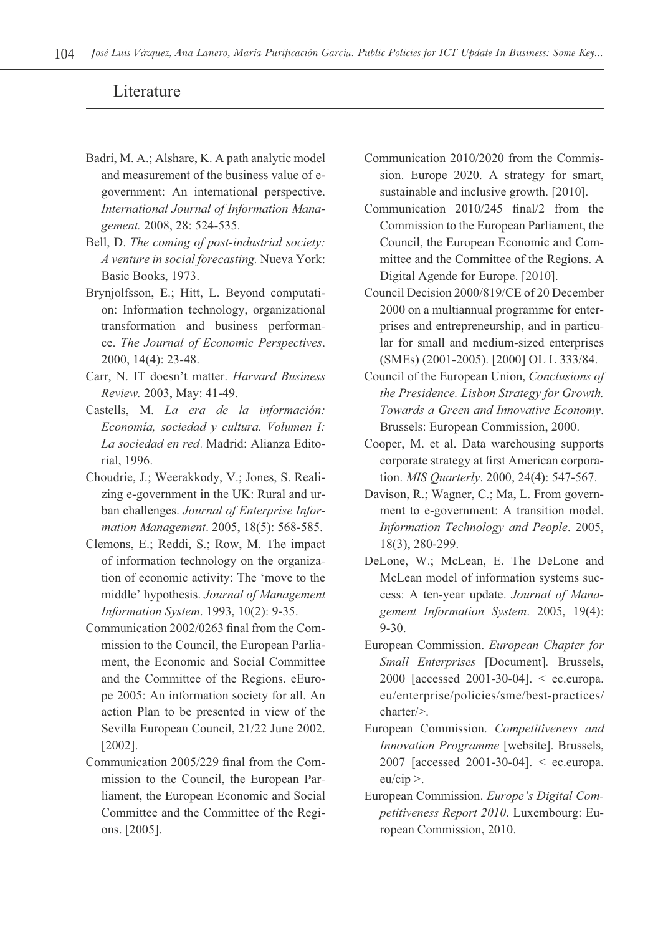### Literature

- Badri, M. A.; Alshare, K. A path analytic model and measurement of the business value of egovernment: An international perspective. *International Journal of Information Management.* 2008, 28: 524-535.
- Bell, D. *The coming of post-industrial society: A venture in social forecasting.* Nueva York: Basic Books, 1973.
- Brynjolfsson, E.; Hitt, L. Beyond computation: Information technology, organizational transformation and business performance. *The Journal of Economic Perspectives*. 2000, 14(4): 23-48.
- Carr, N. IT doesn't matter. *Harvard Business Review.* 2003, May: 41-49.
- Castells, M. *La era de la información: Economía, sociedad y cultura. Volumen I: La sociedad en red*. Madrid: Alianza Editorial, 1996.
- Choudrie, J.; Weerakkody, V.; Jones, S. Realizing e-government in the UK: Rural and urban challenges. *Journal of Enterprise Information Management*. 2005, 18(5): 568-585.
- Clemons, E.; Reddi, S.; Row, M. The impact of information technology on the organization of economic activity: The 'move to the middle' hypothesis. *Journal of Management Information System*. 1993, 10(2): 9-35.
- Communication 2002/0263 final from the Commission to the Council, the European Parliament, the Economic and Social Committee and the Committee of the Regions. eEurope 2005: An information society for all. An action Plan to be presented in view of the Sevilla European Council, 21/22 June 2002. [2002].
- Communication 2005/229 final from the Commission to the Council, the European Parliament, the European Economic and Social Committee and the Committee of the Regions. [2005].
- Communication 2010/2020 from the Commission. Europe 2020. A strategy for smart, sustainable and inclusive growth. [2010].
- Communication 2010/245 final/2 from the Commission to the European Parliament, the Council, the European Economic and Committee and the Committee of the Regions. A Digital Agende for Europe. [2010].
- Council Decision 2000/819/CE of 20 December 2000 on a multiannual programme for enterprises and entrepreneurship, and in particular for small and medium-sized enterprises (SMEs) (2001-2005). [2000] OL L 333/84.
- Council of the European Union, *Conclusions of the Presidence. Lisbon Strategy for Growth. Towards a Green and Innovative Economy*. Brussels: European Commission, 2000.
- Cooper, M. et al. Data warehousing supports corporate strategy at first American corporation. *MIS Quarterly*. 2000, 24(4): 547-567.
- Davison, R.; Wagner, C.; Ma, L. From government to e-government: A transition model. *Information Technology and People*. 2005, 18(3), 280-299.
- DeLone, W.; McLean, E. The DeLone and McLean model of information systems success: A ten-year update. *Journal of Management Information System*. 2005, 19(4): 9-30.
- European Commission. *European Chapter for Small Enterprises* [Document]*.* Brussels, 2000 [accessed 2001-30-04]. < ec.europa. eu/enterprise/policies/sme/best-practices/ charter/>.
- European Commission. *Competitiveness and Innovation Programme* [website]. Brussels, 2007 [accessed 2001-30-04]. < ec.europa. eu/cip >.
- European Commission. *Europe's Digital Competitiveness Report 2010*. Luxembourg: European Commission, 2010.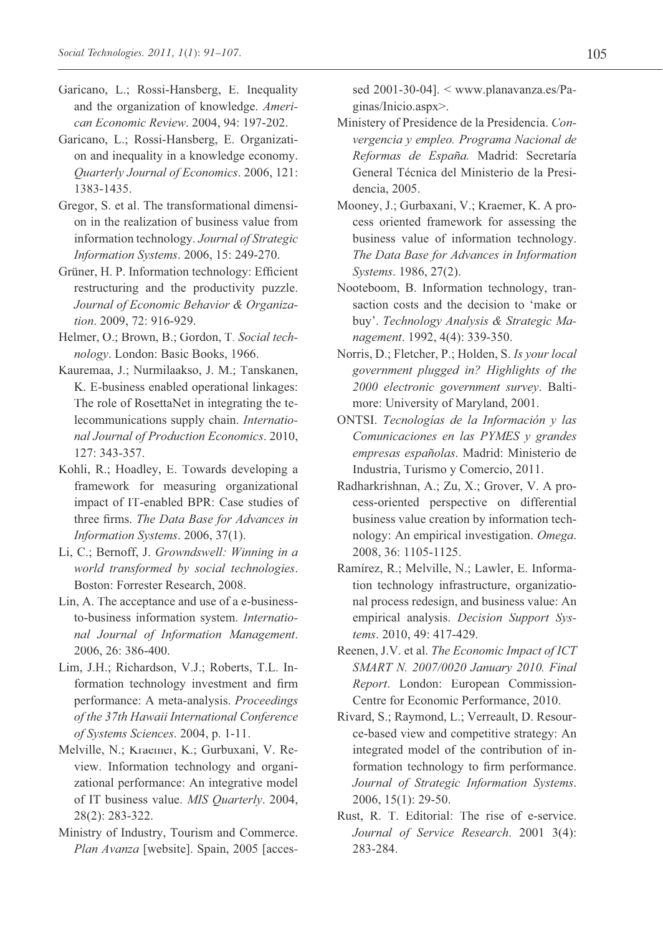- Garicano, L.; Rossi-Hansberg, E. Inequality and the organization of knowledge. *American Economic Review*. 2004, 94: 197-202.
- Garicano, L.; Rossi-Hansberg, E. Organization and inequality in a knowledge economy. *Quarterly Journal of Economics*. 2006, 121: 1383-1435.
- Gregor, S. et al. The transformational dimension in the realization of business value from information technology. *Journal of Strategic Information Systems*. 2006, 15: 249-270.
- Grüner, H. P. Information technology: Efficient restructuring and the productivity puzzle. *Journal of Economic Behavior & Organization*. 2009, 72: 916-929.
- Helmer, O.; Brown, B.; Gordon, T. *Social technology*. London: Basic Books, 1966.
- Kauremaa, J.; Nurmilaakso, J. M.; Tanskanen, K. E-business enabled operational linkages: The role of RosettaNet in integrating the telecommunications supply chain. *International Journal of Production Economics*. 2010, 127: 343-357.
- Kohli, R.; Hoadley, E. Towards developing a framework for measuring organizational impact of IT-enabled BPR: Case studies of three firms. *The Data Base for Advances in Information Systems*. 2006, 37(1).
- Li, C.; Bernoff, J. *Growndswell: Winning in a world transformed by social technologies*. Boston: Forrester Research, 2008.
- Lin, A. The acceptance and use of a e-businessto-business information system. *International Journal of Information Management*. 2006, 26: 386-400.
- Lim, J.H.; Richardson, V.J.; Roberts, T.L. Information technology investment and firm performance: A meta-analysis. *Proceedings of the 37th Hawaii International Conference of Systems Sciences*. 2004, p. 1-11.
- Melville, N.; Kraemer, K.; Gurbuxani, V. Review. Information technology and organizational performance: An integrative model of IT business value. *MIS Quarterly*. 2004, 28(2): 283-322.
- Ministry of Industry, Tourism and Commerce. *Plan Avanza* [website]. Spain, 2005 [acces-

sed 2001-30-04]. < www.planavanza.es/Paginas/Inicio.aspx>.

- Ministery of Presidence de la Presidencia. *Convergencia y empleo. Programa Nacional de Reformas de España.* Madrid: Secretaría General Técnica del Ministerio de la Presidencia, 2005.
- Mooney, J.; Gurbaxani, V.; Kraemer, K. A process oriented framework for assessing the business value of information technology. *The Data Base for Advances in Information Systems*. 1986, 27(2).
- Nooteboom, B. Information technology, transaction costs and the decision to 'make or buy'. *Technology Analysis & Strategic Management*. 1992, 4(4): 339-350.
- Norris, D.; Fletcher, P.; Holden, S. *Is your local government plugged in? Highlights of the 2000 electronic government survey*. Baltimore: University of Maryland, 2001.
- ONTSI. *Tecnologías de la Información y las Comunicaciones en las PYMES y grandes empresas españolas*. Madrid: Ministerio de Industria, Turismo y Comercio, 2011.
- Radharkrishnan, A.; Zu, X.; Grover, V. A process-oriented perspective on differential business value creation by information technology: An empirical investigation. *Omega*. 2008, 36: 1105-1125.
- Ramírez, R.; Melville, N.; Lawler, E. Information technology infrastructure, organizational process redesign, and business value: An empirical analysis. *Decision Support Systems*. 2010, 49: 417-429.
- Reenen, J.V. et al. *The Economic Impact of ICT SMART N. 2007/0020 January 2010. Final Report*. London: European Commission-Centre for Economic Performance, 2010.
- Rivard, S.; Raymond, L.; Verreault, D. Resource-based view and competitive strategy: An integrated model of the contribution of information technology to firm performance. *Journal of Strategic Information Systems*. 2006, 15(1): 29-50.
- Rust, R. T. Editorial: The rise of e-service. *Journal of Service Research*. 2001 3(4): 283-284.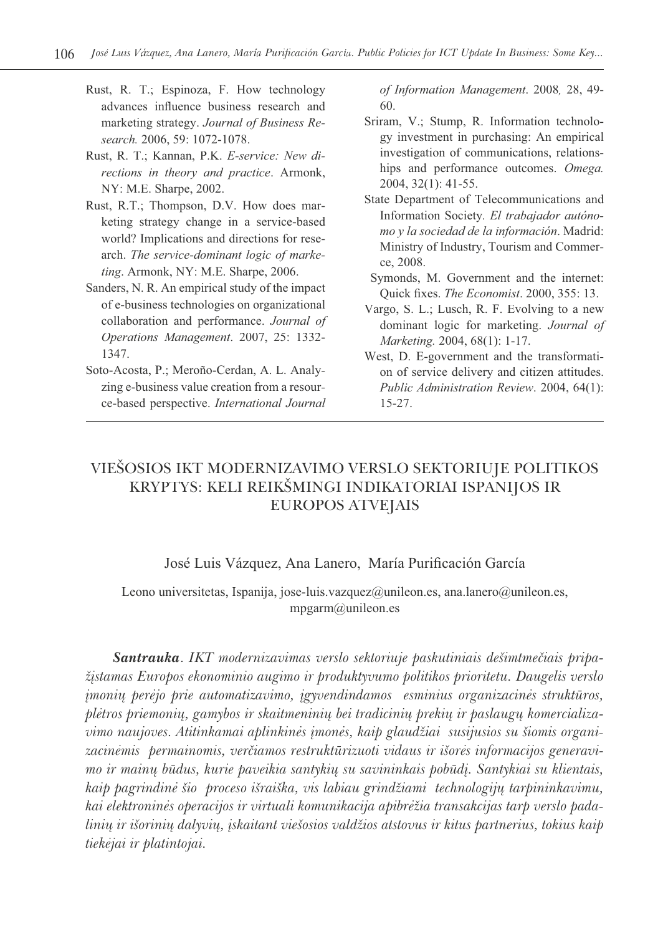- Rust, R. T.; Espinoza, F. How technology advances influence business research and marketing strategy. *Journal of Business Research.* 2006, 59: 1072-1078.
- Rust, R. T.; Kannan, P.K. *E-service: New directions in theory and practice*. Armonk, NY: M.E. Sharpe, 2002.
- Rust, R.T.; Thompson, D.V. How does marketing strategy change in a service-based world? Implications and directions for research. *The service-dominant logic of marketing*. Armonk, NY: M.E. Sharpe, 2006.
- Sanders, N. R. An empirical study of the impact of e-business technologies on organizational collaboration and performance. *Journal of Operations Management*. 2007, 25: 1332- 1347.
- Soto-Acosta, P.; Meroño-Cerdan, A. L. Analyzing e-business value creation from a resource-based perspective. *International Journal*

*of Information Management*. 2008*,* 28, 49- 60.

- Sriram, V.; Stump, R. Information technology investment in purchasing: An empirical investigation of communications, relationships and performance outcomes. *Omega.*  2004, 32(1): 41-55.
- State Department of Telecommunications and Information Society*. El trabajador autónomo y la sociedad de la información*. Madrid: Ministry of Industry, Tourism and Commerce, 2008.
- Symonds, M. Government and the internet: Quick fixes. *The Economist*. 2000, 355: 13.
- Vargo, S. L.; Lusch, R. F. Evolving to a new dominant logic for marketing. *Journal of Marketing.* 2004, 68(1): 1-17.
- West, D. E-government and the transformation of service delivery and citizen attitudes. *Public Administration Review*. 2004, 64(1): 15-27.

## VIEÐOSIOS IKT MODERNIZAVIMO VERSLO SEKTORIUJE POLITIKOS KRYPTYS: KELI REIKÐMINGI INDIKATORIAI ISPANIJOS IR EUROPOS ATVEJAIS

#### José Luis Vázquez, Ana Lanero, María Purificación García

#### Leono universitetas, Ispanija, jose-luis.vazquez@unileon.es, ana.lanero@unileon.es, mpgarm@unileon.es

*Santrauka*. *IKT modernizavimas verslo sektoriuje paskutiniais deðimtmeèiais pripaþástamas Europos ekonominio augimo ir produktyvumo politikos prioritetu. Daugelis verslo ámoniø perëjo prie automatizavimo, ágyvendindamos esminius organizacinës struktûros, plëtros priemoniø, gamybos ir skaitmeniniø bei tradiciniø prekiø ir paslaugø komercializa*vimo naujoves. Atitinkamai aplinkinės įmonės, kaip glaudžiai susijusios su šiomis organi*zacinëmis permainomis, verèiamos restruktûrizuoti vidaus ir iðorës informacijos generavimo ir mainø bûdus, kurie paveikia santykiø su savininkais pobûdá. Santykiai su klientais,*  kaip pagrindinė šio proceso išraiška, vis labiau grindžiami technologijų tarpininkavimu, kai elektroninės operacijos ir virtuali komunikacija apibrėžia transakcijas tarp verslo pada*linių ir išorinių dalyvių, įskaitant viešosios valdžios atstovus ir kitus partnerius, tokius kaip tiekëjai ir platintojai.*